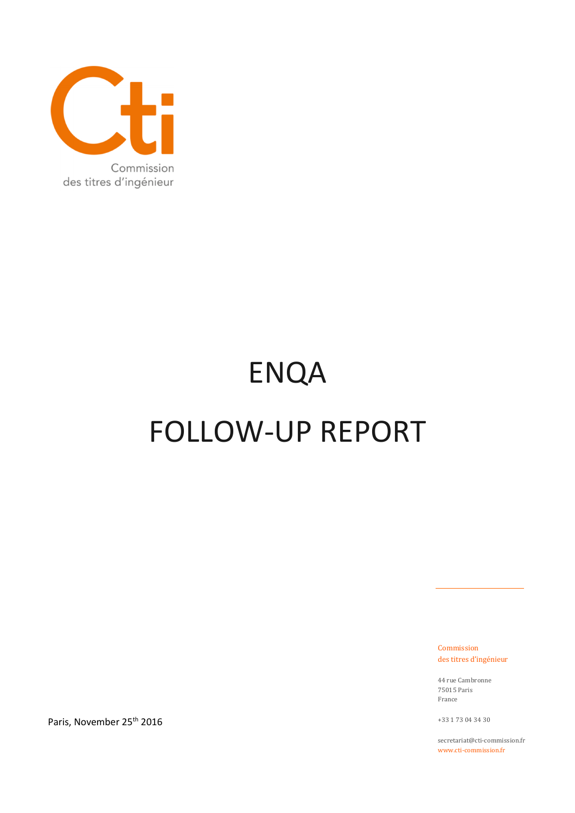

# ENQA FOLLOW-UP REPORT

Commission des titres d'ingénieur

44 rue Cambronne 75015 Paris France

+33 1 73 04 34 30

secretariat@cti-commission.fr www.cti-commission.fr

Paris, November 25<sup>th</sup> 2016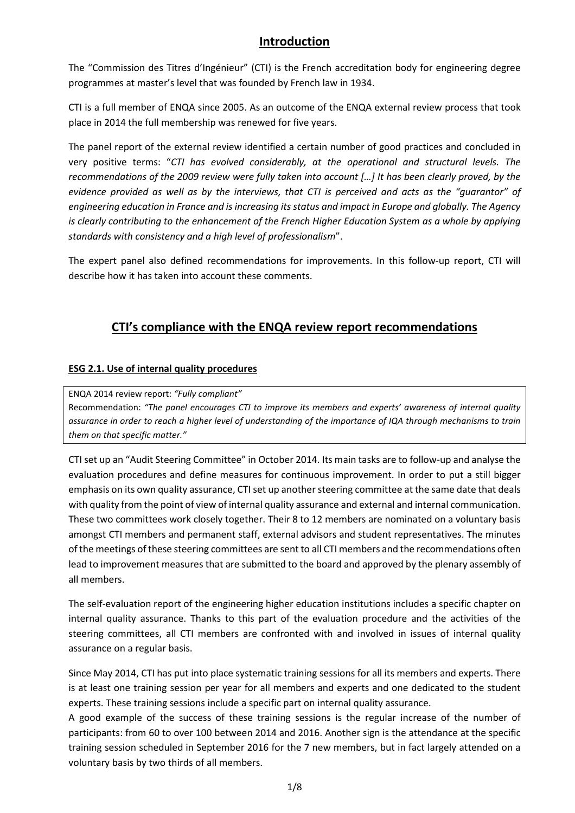## **Introduction**

The "Commission des Titres d'Ingénieur" (CTI) is the French accreditation body for engineering degree programmes at master's level that was founded by French law in 1934.

CTI is a full member of ENQA since 2005. As an outcome of the ENQA external review process that took place in 2014 the full membership was renewed for five years.

The panel report of the external review identified a certain number of good practices and concluded in very positive terms: "*CTI has evolved considerably, at the operational and structural levels. The recommendations of the 2009 review were fully taken into account […] It has been clearly proved, by the evidence provided as well as by the interviews, that CTI is perceived and acts as the "guarantor" of engineering education in France and is increasing its status and impact in Europe and globally. The Agency is clearly contributing to the enhancement of the French Higher Education System as a whole by applying standards with consistency and a high level of professionalism*".

The expert panel also defined recommendations for improvements. In this follow-up report, CTI will describe how it has taken into account these comments.

# **CTI's compliance with the ENQA review report recommendations**

#### **ESG 2.1. Use of internal quality procedures**

ENQA 2014 review report: *"Fully compliant"* 

Recommendation: *"The panel encourages CTI to improve its members and experts' awareness of internal quality assurance in order to reach a higher level of understanding of the importance of IQA through mechanisms to train them on that specific matter."* 

CTI set up an "Audit Steering Committee" in October 2014. Its main tasks are to follow-up and analyse the evaluation procedures and define measures for continuous improvement. In order to put a still bigger emphasis on its own quality assurance, CTI set up another steering committee at the same date that deals with quality from the point of view of internal quality assurance and external and internal communication. These two committees work closely together. Their 8 to 12 members are nominated on a voluntary basis amongst CTI members and permanent staff, external advisors and student representatives. The minutes of the meetings of these steering committees are sent to all CTI members and the recommendations often lead to improvement measures that are submitted to the board and approved by the plenary assembly of all members.

The self-evaluation report of the engineering higher education institutions includes a specific chapter on internal quality assurance. Thanks to this part of the evaluation procedure and the activities of the steering committees, all CTI members are confronted with and involved in issues of internal quality assurance on a regular basis.

Since May 2014, CTI has put into place systematic training sessions for all its members and experts. There is at least one training session per year for all members and experts and one dedicated to the student experts. These training sessions include a specific part on internal quality assurance.

A good example of the success of these training sessions is the regular increase of the number of participants: from 60 to over 100 between 2014 and 2016. Another sign is the attendance at the specific training session scheduled in September 2016 for the 7 new members, but in fact largely attended on a voluntary basis by two thirds of all members.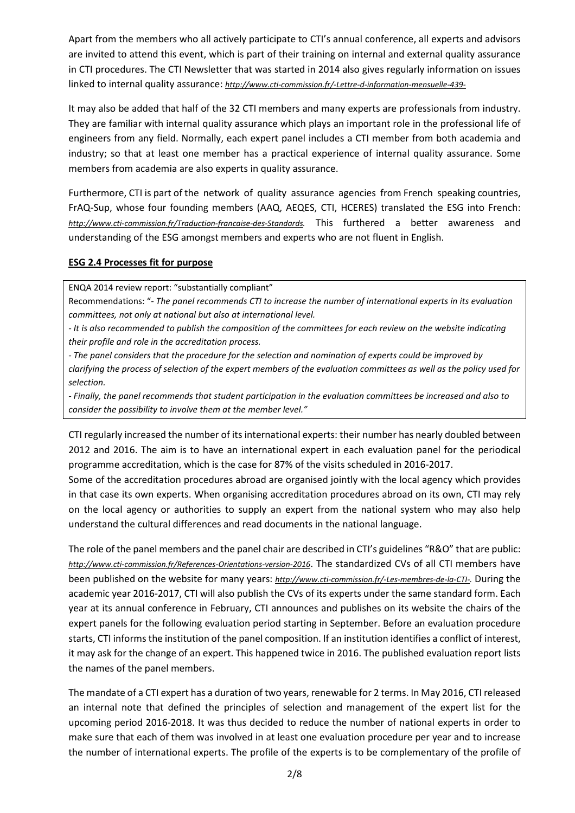Apart from the members who all actively participate to CTI's annual conference, all experts and advisors are invited to attend this event, which is part of their training on internal and external quality assurance in CTI procedures. The CTI Newsletter that was started in 2014 also gives regularly information on issues linked to internal quality assurance: *http://www.cti-commission.fr/-Lettre-d-information-mensuelle-439-*

It may also be added that half of the 32 CTI members and many experts are professionals from industry. They are familiar with internal quality assurance which plays an important role in the professional life of engineers from any field. Normally, each expert panel includes a CTI member from both academia and industry; so that at least one member has a practical experience of internal quality assurance. Some members from academia are also experts in quality assurance.

Furthermore, CTI is part of the network of quality assurance agencies from French speaking countries, FrAQ-Sup, whose four founding members (AAQ, AEQES, CTI, HCERES) translated the ESG into French: *http://www.cti-commission.fr/Traduction-francaise-des-Standards.* This furthered a better awareness and understanding of the ESG amongst members and experts who are not fluent in English.

#### **ESG 2.4 Processes fit for purpose**

ENQA 2014 review report: "substantially compliant"

Recommendations: "*- The panel recommends CTI to increase the number of international experts in its evaluation committees, not only at national but also at international level.* 

*- It is also recommended to publish the composition of the committees for each review on the website indicating their profile and role in the accreditation process.* 

*- The panel considers that the procedure for the selection and nomination of experts could be improved by clarifying the process of selection of the expert members of the evaluation committees as well as the policy used for selection.* 

*- Finally, the panel recommends that student participation in the evaluation committees be increased and also to consider the possibility to involve them at the member level."* 

CTI regularly increased the number of its international experts: their number has nearly doubled between 2012 and 2016. The aim is to have an international expert in each evaluation panel for the periodical programme accreditation, which is the case for 87% of the visits scheduled in 2016-2017.

Some of the accreditation procedures abroad are organised jointly with the local agency which provides in that case its own experts. When organising accreditation procedures abroad on its own, CTI may rely on the local agency or authorities to supply an expert from the national system who may also help understand the cultural differences and read documents in the national language.

The role of the panel members and the panel chair are described in CTI's guidelines "R&O" that are public: *http://www.cti-commission.fr/References-Orientations-version-2016*. The standardized CVs of all CTI members have been published on the website for many years: *http://www.cti-commission.fr/-Les-membres-de-la-CTI-.* During the academic year 2016-2017, CTI will also publish the CVs of its experts under the same standard form. Each year at its annual conference in February, CTI announces and publishes on its website the chairs of the expert panels for the following evaluation period starting in September. Before an evaluation procedure starts, CTI informs the institution of the panel composition. If an institution identifies a conflict of interest, it may ask for the change of an expert. This happened twice in 2016. The published evaluation report lists the names of the panel members.

The mandate of a CTI expert has a duration of two years, renewable for 2 terms. In May 2016, CTI released an internal note that defined the principles of selection and management of the expert list for the upcoming period 2016-2018. It was thus decided to reduce the number of national experts in order to make sure that each of them was involved in at least one evaluation procedure per year and to increase the number of international experts. The profile of the experts is to be complementary of the profile of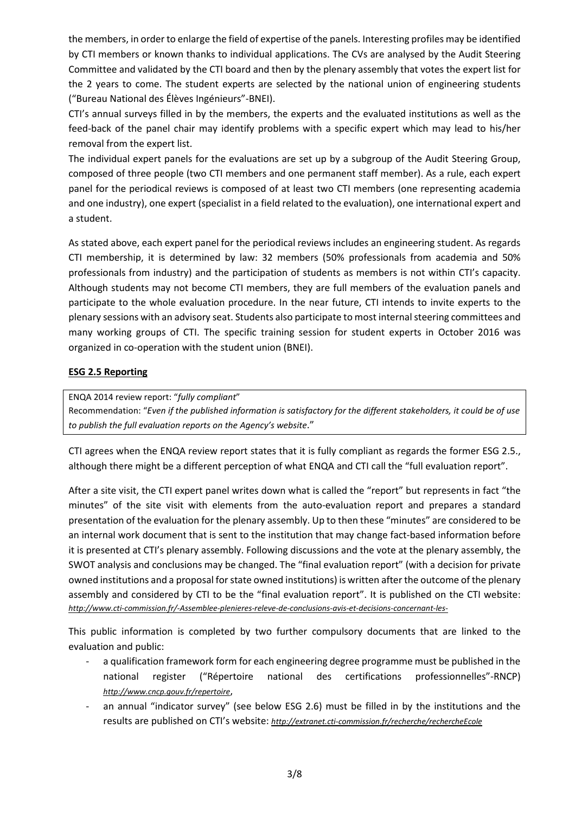the members, in order to enlarge the field of expertise of the panels. Interesting profiles may be identified by CTI members or known thanks to individual applications. The CVs are analysed by the Audit Steering Committee and validated by the CTI board and then by the plenary assembly that votes the expert list for the 2 years to come. The student experts are selected by the national union of engineering students ("Bureau National des Élèves Ingénieurs"-BNEI).

CTI's annual surveys filled in by the members, the experts and the evaluated institutions as well as the feed-back of the panel chair may identify problems with a specific expert which may lead to his/her removal from the expert list.

The individual expert panels for the evaluations are set up by a subgroup of the Audit Steering Group, composed of three people (two CTI members and one permanent staff member). As a rule, each expert panel for the periodical reviews is composed of at least two CTI members (one representing academia and one industry), one expert (specialist in a field related to the evaluation), one international expert and a student.

As stated above, each expert panel for the periodical reviews includes an engineering student. As regards CTI membership, it is determined by law: 32 members (50% professionals from academia and 50% professionals from industry) and the participation of students as members is not within CTI's capacity. Although students may not become CTI members, they are full members of the evaluation panels and participate to the whole evaluation procedure. In the near future, CTI intends to invite experts to the plenary sessions with an advisory seat. Students also participate to most internal steering committees and many working groups of CTI. The specific training session for student experts in October 2016 was organized in co-operation with the student union (BNEI).

#### **ESG 2.5 Reporting**

ENQA 2014 review report: "*fully compliant*"

Recommendation: "*Even if the published information is satisfactory for the different stakeholders, it could be of use to publish the full evaluation reports on the Agency's website*."

CTI agrees when the ENQA review report states that it is fully compliant as regards the former ESG 2.5., although there might be a different perception of what ENQA and CTI call the "full evaluation report".

After a site visit, the CTI expert panel writes down what is called the "report" but represents in fact "the minutes" of the site visit with elements from the auto-evaluation report and prepares a standard presentation of the evaluation for the plenary assembly. Up to then these "minutes" are considered to be an internal work document that is sent to the institution that may change fact-based information before it is presented at CTI's plenary assembly. Following discussions and the vote at the plenary assembly, the SWOT analysis and conclusions may be changed. The "final evaluation report" (with a decision for private owned institutions and a proposal for state owned institutions) is written after the outcome of the plenary assembly and considered by CTI to be the "final evaluation report". It is published on the CTI website: *http://www.cti-commission.fr/-Assemblee-plenieres-releve-de-conclusions-avis-et-decisions-concernant-les-*

This public information is completed by two further compulsory documents that are linked to the evaluation and public:

- a qualification framework form for each engineering degree programme must be published in the national register ("Répertoire national des certifications professionnelles"-RNCP) *http://www.cncp.gouv.fr/repertoire*,
- an annual "indicator survey" (see below ESG 2.6) must be filled in by the institutions and the results are published on CTI's website: *http://extranet.cti-commission.fr/recherche/rechercheEcole*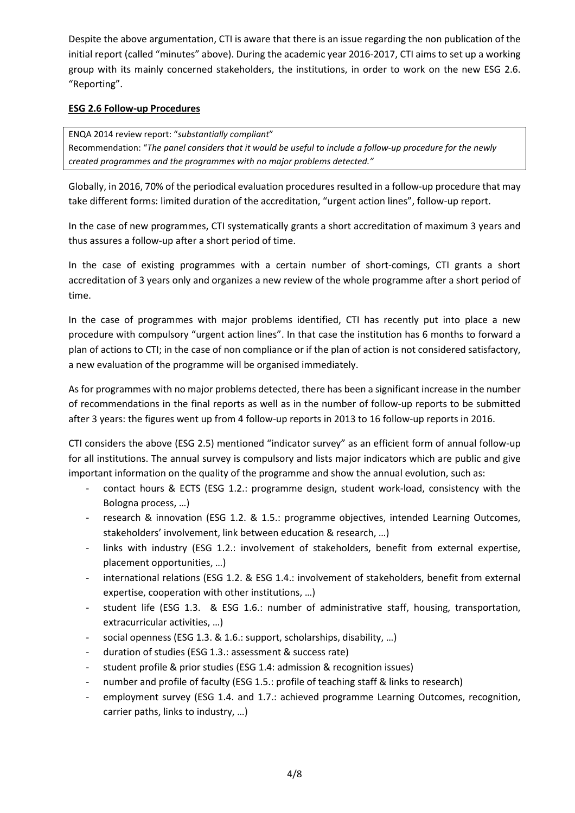Despite the above argumentation, CTI is aware that there is an issue regarding the non publication of the initial report (called "minutes" above). During the academic year 2016-2017, CTI aims to set up a working group with its mainly concerned stakeholders, the institutions, in order to work on the new ESG 2.6. "Reporting".

#### **ESG 2.6 Follow-up Procedures**

ENQA 2014 review report: "*substantially compliant*" Recommendation: "*The panel considers that it would be useful to include a follow-up procedure for the newly created programmes and the programmes with no major problems detected."*

Globally, in 2016, 70% of the periodical evaluation procedures resulted in a follow-up procedure that may take different forms: limited duration of the accreditation, "urgent action lines", follow-up report.

In the case of new programmes, CTI systematically grants a short accreditation of maximum 3 years and thus assures a follow-up after a short period of time.

In the case of existing programmes with a certain number of short-comings, CTI grants a short accreditation of 3 years only and organizes a new review of the whole programme after a short period of time.

In the case of programmes with major problems identified, CTI has recently put into place a new procedure with compulsory "urgent action lines". In that case the institution has 6 months to forward a plan of actions to CTI; in the case of non compliance or if the plan of action is not considered satisfactory, a new evaluation of the programme will be organised immediately.

As for programmes with no major problems detected, there has been a significant increase in the number of recommendations in the final reports as well as in the number of follow-up reports to be submitted after 3 years: the figures went up from 4 follow-up reports in 2013 to 16 follow-up reports in 2016.

CTI considers the above (ESG 2.5) mentioned "indicator survey" as an efficient form of annual follow-up for all institutions. The annual survey is compulsory and lists major indicators which are public and give important information on the quality of the programme and show the annual evolution, such as:

- contact hours & ECTS (ESG 1.2.: programme design, student work-load, consistency with the Bologna process, …)
- research & innovation (ESG 1.2. & 1.5.: programme objectives, intended Learning Outcomes, stakeholders' involvement, link between education & research, …)
- links with industry (ESG 1.2.: involvement of stakeholders, benefit from external expertise, placement opportunities, …)
- international relations (ESG 1.2. & ESG 1.4.: involvement of stakeholders, benefit from external expertise, cooperation with other institutions, …)
- student life (ESG 1.3. & ESG 1.6.: number of administrative staff, housing, transportation, extracurricular activities, …)
- social openness (ESG 1.3. & 1.6.: support, scholarships, disability, ...)
- duration of studies (ESG 1.3.: assessment & success rate)
- student profile & prior studies (ESG 1.4: admission & recognition issues)
- number and profile of faculty (ESG 1.5.: profile of teaching staff & links to research)
- employment survey (ESG 1.4. and 1.7.: achieved programme Learning Outcomes, recognition, carrier paths, links to industry, …)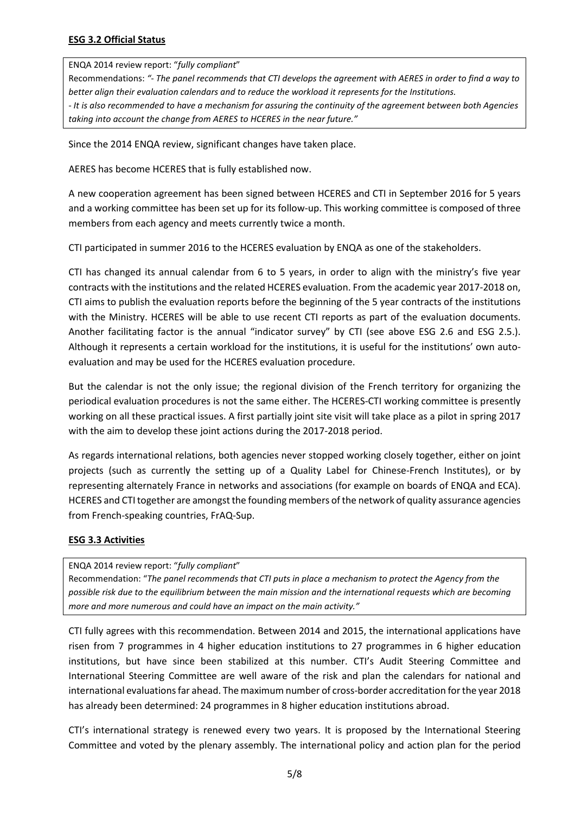ENQA 2014 review report: "*fully compliant*"

Recommendations: *"- The panel recommends that CTI develops the agreement with AERES in order to find a way to better align their evaluation calendars and to reduce the workload it represents for the Institutions. - It is also recommended to have a mechanism for assuring the continuity of the agreement between both Agencies taking into account the change from AERES to HCERES in the near future."*

Since the 2014 ENQA review, significant changes have taken place.

AERES has become HCERES that is fully established now.

A new cooperation agreement has been signed between HCERES and CTI in September 2016 for 5 years and a working committee has been set up for its follow-up. This working committee is composed of three members from each agency and meets currently twice a month.

CTI participated in summer 2016 to the HCERES evaluation by ENQA as one of the stakeholders.

CTI has changed its annual calendar from 6 to 5 years, in order to align with the ministry's five year contracts with the institutions and the related HCERES evaluation. From the academic year 2017-2018 on, CTI aims to publish the evaluation reports before the beginning of the 5 year contracts of the institutions with the Ministry. HCERES will be able to use recent CTI reports as part of the evaluation documents. Another facilitating factor is the annual "indicator survey" by CTI (see above ESG 2.6 and ESG 2.5.). Although it represents a certain workload for the institutions, it is useful for the institutions' own autoevaluation and may be used for the HCERES evaluation procedure.

But the calendar is not the only issue; the regional division of the French territory for organizing the periodical evaluation procedures is not the same either. The HCERES-CTI working committee is presently working on all these practical issues. A first partially joint site visit will take place as a pilot in spring 2017 with the aim to develop these joint actions during the 2017-2018 period.

As regards international relations, both agencies never stopped working closely together, either on joint projects (such as currently the setting up of a Quality Label for Chinese-French Institutes), or by representing alternately France in networks and associations (for example on boards of ENQA and ECA). HCERES and CTI together are amongst the founding members of the network of quality assurance agencies from French-speaking countries, FrAQ-Sup.

#### **ESG 3.3 Activities**

ENQA 2014 review report: "*fully compliant*"

Recommendation: "*The panel recommends that CTI puts in place a mechanism to protect the Agency from the possible risk due to the equilibrium between the main mission and the international requests which are becoming more and more numerous and could have an impact on the main activity."*

CTI fully agrees with this recommendation. Between 2014 and 2015, the international applications have risen from 7 programmes in 4 higher education institutions to 27 programmes in 6 higher education institutions, but have since been stabilized at this number. CTI's Audit Steering Committee and International Steering Committee are well aware of the risk and plan the calendars for national and international evaluations far ahead. The maximum number of cross-border accreditation for the year 2018 has already been determined: 24 programmes in 8 higher education institutions abroad.

CTI's international strategy is renewed every two years. It is proposed by the International Steering Committee and voted by the plenary assembly. The international policy and action plan for the period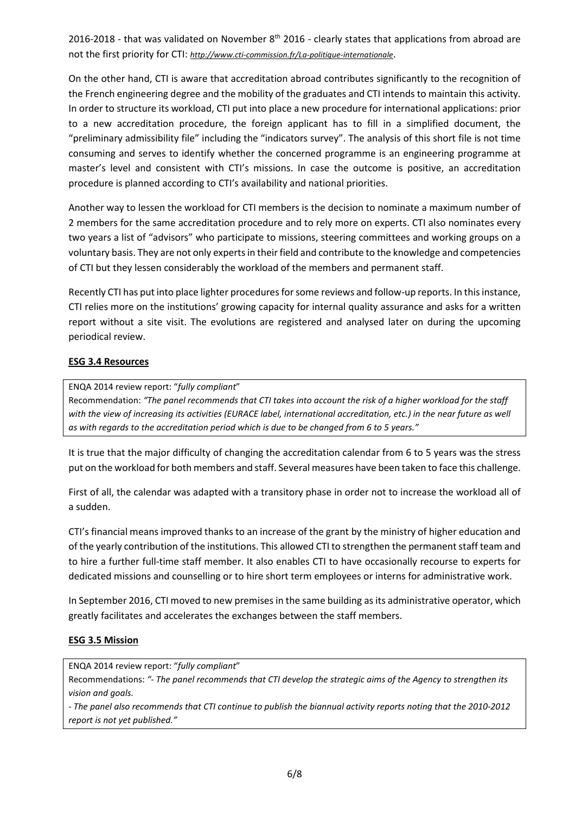2016-2018 - that was validated on November  $8<sup>th</sup>$  2016 - clearly states that applications from abroad are not the first priority for CTI: *http://www.cti-commission.fr/La-politique-internationale*.

On the other hand, CTI is aware that accreditation abroad contributes significantly to the recognition of the French engineering degree and the mobility of the graduates and CTI intends to maintain this activity. In order to structure its workload, CTI put into place a new procedure for international applications: prior to a new accreditation procedure, the foreign applicant has to fill in a simplified document, the "preliminary admissibility file" including the "indicators survey". The analysis of this short file is not time consuming and serves to identify whether the concerned programme is an engineering programme at master's level and consistent with CTI's missions. In case the outcome is positive, an accreditation procedure is planned according to CTI's availability and national priorities.

Another way to lessen the workload for CTI members is the decision to nominate a maximum number of 2 members for the same accreditation procedure and to rely more on experts. CTI also nominates every two years a list of "advisors" who participate to missions, steering committees and working groups on a voluntary basis. They are not only experts in their field and contribute to the knowledge and competencies of CTI but they lessen considerably the workload of the members and permanent staff.

Recently CTI has put into place lighter procedures for some reviews and follow-up reports. In this instance, CTI relies more on the institutions' growing capacity for internal quality assurance and asks for a written report without a site visit. The evolutions are registered and analysed later on during the upcoming periodical review.

#### **ESG 3.4 Resources**

ENQA 2014 review report: "*fully compliant*"

Recommendation: *"The panel recommends that CTI takes into account the risk of a higher workload for the staff with the view of increasing its activities (EURACE label, international accreditation, etc.) in the near future as well as with regards to the accreditation period which is due to be changed from 6 to 5 years."*

It is true that the major difficulty of changing the accreditation calendar from 6 to 5 years was the stress put on the workload for both members and staff. Several measures have been taken to face this challenge.

First of all, the calendar was adapted with a transitory phase in order not to increase the workload all of a sudden.

CTI's financial means improved thanks to an increase of the grant by the ministry of higher education and of the yearly contribution of the institutions. This allowed CTI to strengthen the permanent staff team and to hire a further full-time staff member. It also enables CTI to have occasionally recourse to experts for dedicated missions and counselling or to hire short term employees or interns for administrative work.

In September 2016, CTI moved to new premises in the same building as its administrative operator, which greatly facilitates and accelerates the exchanges between the staff members.

#### **ESG 3.5 Mission**

ENQA 2014 review report: "*fully compliant*"

Recommendations: *"- The panel recommends that CTI develop the strategic aims of the Agency to strengthen its vision and goals.* 

*- The panel also recommends that CTI continue to publish the biannual activity reports noting that the 2010-2012 report is not yet published."*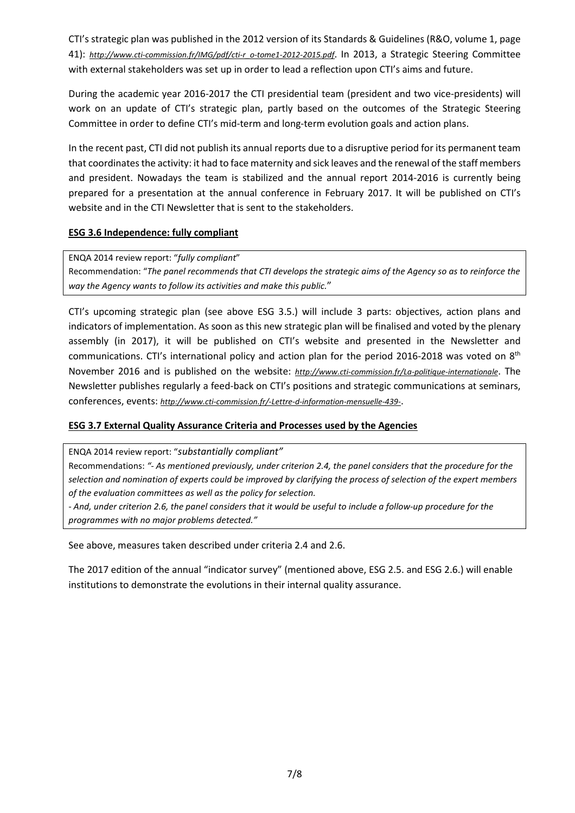CTI's strategic plan was published in the 2012 version of its Standards & Guidelines (R&O, volume 1, page 41): *http://www.cti-commission.fr/IMG/pdf/cti-r\_o-tome1-2012-2015.pdf*. In 2013, a Strategic Steering Committee with external stakeholders was set up in order to lead a reflection upon CTI's aims and future.

During the academic year 2016-2017 the CTI presidential team (president and two vice-presidents) will work on an update of CTI's strategic plan, partly based on the outcomes of the Strategic Steering Committee in order to define CTI's mid-term and long-term evolution goals and action plans.

In the recent past, CTI did not publish its annual reports due to a disruptive period for its permanent team that coordinates the activity: it had to face maternity and sick leaves and the renewal of the staff members and president. Nowadays the team is stabilized and the annual report 2014-2016 is currently being prepared for a presentation at the annual conference in February 2017. It will be published on CTI's website and in the CTI Newsletter that is sent to the stakeholders.

#### **ESG 3.6 Independence: fully compliant**

ENQA 2014 review report: "*fully compliant*" Recommendation: "*The panel recommends that CTI develops the strategic aims of the Agency so as to reinforce the way the Agency wants to follow its activities and make this public.*"

CTI's upcoming strategic plan (see above ESG 3.5.) will include 3 parts: objectives, action plans and indicators of implementation. As soon as this new strategic plan will be finalised and voted by the plenary assembly (in 2017), it will be published on CTI's website and presented in the Newsletter and communications. CTI's international policy and action plan for the period 2016-2018 was voted on 8<sup>th</sup> November 2016 and is published on the website: *http://www.cti-commission.fr/La-politique-internationale*. The Newsletter publishes regularly a feed-back on CTI's positions and strategic communications at seminars, conferences, events: *http://www.cti-commission.fr/-Lettre-d-information-mensuelle-439-*.

#### **ESG 3.7 External Quality Assurance Criteria and Processes used by the Agencies**

ENQA 2014 review report: "*substantially compliant"*

Recommendations: *"- As mentioned previously, under criterion 2.4, the panel considers that the procedure for the selection and nomination of experts could be improved by clarifying the process of selection of the expert members of the evaluation committees as well as the policy for selection.* 

*- And, under criterion 2.6, the panel considers that it would be useful to include a follow-up procedure for the programmes with no major problems detected."* 

See above, measures taken described under criteria 2.4 and 2.6.

The 2017 edition of the annual "indicator survey" (mentioned above, ESG 2.5. and ESG 2.6.) will enable institutions to demonstrate the evolutions in their internal quality assurance.